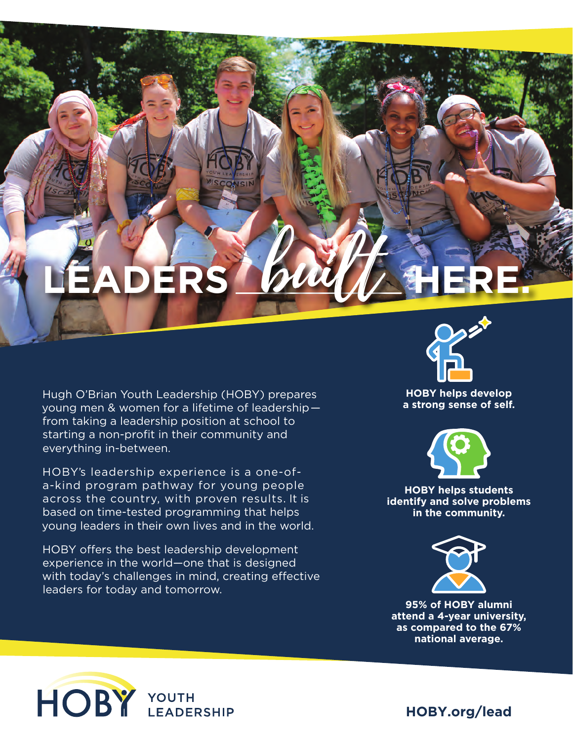## **LEADERS** built **HERE.**

CONSIN

Hugh O'Brian Youth Leadership (HOBY) prepares young men & women for a lifetime of leadership from taking a leadership position at school to starting a non-profit in their community and everything in-between.

HOBY's leadership experience is a one-ofa-kind program pathway for young people across the country, with proven results. It is based on time-tested programming that helps young leaders in their own lives and in the world.

HOBY offers the best leadership development experience in the world—one that is designed with today's challenges in mind, creating effective leaders for today and tomorrow.



**HOBY helps develop a strong sense of self.**



**HOBY helps students identify and solve problems in the community.**



**95% of HOBY alumni attend a 4-year university, as compared to the 67% national average.**



**HOBY.org/lead**